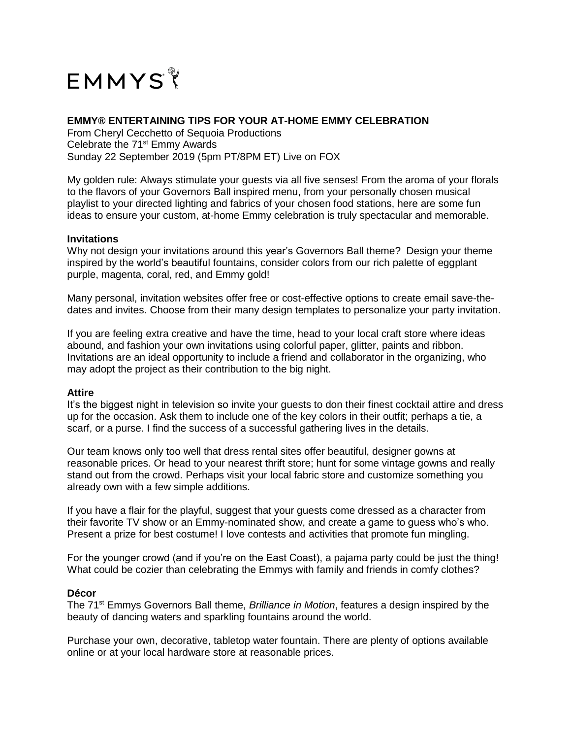

# **EMMY® ENTERTAINING TIPS FOR YOUR AT-HOME EMMY CELEBRATION**

From Cheryl Cecchetto of Sequoia Productions Celebrate the 71<sup>st</sup> Emmy Awards Sunday 22 September 2019 (5pm PT/8PM ET) Live on FOX

My golden rule: Always stimulate your guests via all five senses! From the aroma of your florals to the flavors of your Governors Ball inspired menu, from your personally chosen musical playlist to your directed lighting and fabrics of your chosen food stations, here are some fun ideas to ensure your custom, at-home Emmy celebration is truly spectacular and memorable.

## **Invitations**

Why not design your invitations around this year's Governors Ball theme? Design your theme inspired by the world's beautiful fountains, consider colors from our rich palette of eggplant purple, magenta, coral, red, and Emmy gold!

Many personal, invitation websites offer free or cost-effective options to create email save-thedates and invites. Choose from their many design templates to personalize your party invitation.

If you are feeling extra creative and have the time, head to your local craft store where ideas abound, and fashion your own invitations using colorful paper, glitter, paints and ribbon. Invitations are an ideal opportunity to include a friend and collaborator in the organizing, who may adopt the project as their contribution to the big night.

#### **Attire**

It's the biggest night in television so invite your guests to don their finest cocktail attire and dress up for the occasion. Ask them to include one of the key colors in their outfit; perhaps a tie, a scarf, or a purse. I find the success of a successful gathering lives in the details.

Our team knows only too well that dress rental sites offer beautiful, designer gowns at reasonable prices. Or head to your nearest thrift store; hunt for some vintage gowns and really stand out from the crowd. Perhaps visit your local fabric store and customize something you already own with a few simple additions.

If you have a flair for the playful, suggest that your guests come dressed as a character from their favorite TV show or an Emmy-nominated show, and create a game to guess who's who. Present a prize for best costume! I love contests and activities that promote fun mingling.

For the younger crowd (and if you're on the East Coast), a pajama party could be just the thing! What could be cozier than celebrating the Emmys with family and friends in comfy clothes?

#### **Décor**

The 71st Emmys Governors Ball theme, *Brilliance in Motion*, features a design inspired by the beauty of dancing waters and sparkling fountains around the world.

Purchase your own, decorative, tabletop water fountain. There are plenty of options available online or at your local hardware store at reasonable prices.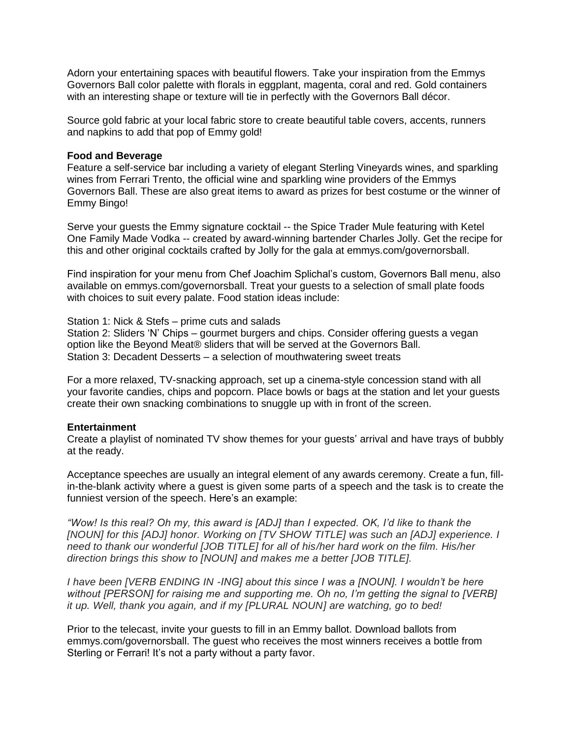Adorn your entertaining spaces with beautiful flowers. Take your inspiration from the Emmys Governors Ball color palette with florals in eggplant, magenta, coral and red. Gold containers with an interesting shape or texture will tie in perfectly with the Governors Ball décor.

Source gold fabric at your local fabric store to create beautiful table covers, accents, runners and napkins to add that pop of Emmy gold!

## **Food and Beverage**

Feature a self-service bar including a variety of elegant Sterling Vineyards wines, and sparkling wines from Ferrari Trento, the official wine and sparkling wine providers of the Emmys Governors Ball. These are also great items to award as prizes for best costume or the winner of Emmy Bingo!

Serve your guests the Emmy signature cocktail -- the Spice Trader Mule featuring with Ketel One Family Made Vodka -- created by award-winning bartender Charles Jolly. Get the recipe for this and other original cocktails crafted by Jolly for the gala at emmys.com/governorsball.

Find inspiration for your menu from Chef Joachim Splichal's custom, Governors Ball menu, also available on emmys.com/governorsball. Treat your guests to a selection of small plate foods with choices to suit every palate. Food station ideas include:

Station 1: Nick & Stefs – prime cuts and salads

Station 2: Sliders 'N' Chips – gourmet burgers and chips. Consider offering guests a vegan option like the Beyond Meat® sliders that will be served at the Governors Ball. Station 3: Decadent Desserts – a selection of mouthwatering sweet treats

For a more relaxed, TV-snacking approach, set up a cinema-style concession stand with all your favorite candies, chips and popcorn. Place bowls or bags at the station and let your guests create their own snacking combinations to snuggle up with in front of the screen.

## **Entertainment**

Create a playlist of nominated TV show themes for your guests' arrival and have trays of bubbly at the ready.

Acceptance speeches are usually an integral element of any awards ceremony. Create a fun, fillin-the-blank activity where a guest is given some parts of a speech and the task is to create the funniest version of the speech. Here's an example:

*"Wow! Is this real? Oh my, this award is [ADJ] than I expected. OK, I'd like to thank the [NOUN] for this [ADJ] honor. Working on [TV SHOW TITLE] was such an [ADJ] experience. I need to thank our wonderful [JOB TITLE] for all of his/her hard work on the film. His/her direction brings this show to [NOUN] and makes me a better [JOB TITLE].*

*I have been [VERB ENDING IN -ING] about this since I was a [NOUN]. I wouldn't be here without [PERSON] for raising me and supporting me. Oh no, I'm getting the signal to [VERB] it up. Well, thank you again, and if my [PLURAL NOUN] are watching, go to bed!*

Prior to the telecast, invite your guests to fill in an Emmy ballot. Download ballots from emmys.com/governorsball. The guest who receives the most winners receives a bottle from Sterling or Ferrari! It's not a party without a party favor.